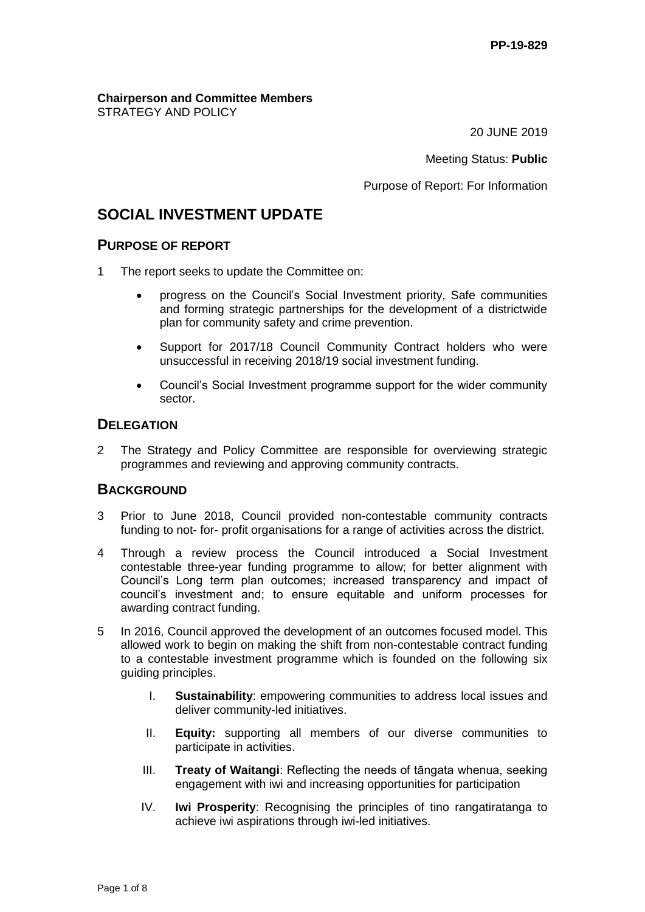#### **Chairperson and Committee Members** STRATEGY AND POLICY

20 JUNE 2019

Meeting Status: **Public**

Purpose of Report: For Information

# **SOCIAL INVESTMENT UPDATE**

### **PURPOSE OF REPORT**

1 The report seeks to update the Committee on:

- progress on the Council's Social Investment priority, Safe communities and forming strategic partnerships for the development of a districtwide plan for community safety and crime prevention.
- Support for 2017/18 Council Community Contract holders who were unsuccessful in receiving 2018/19 social investment funding.
- Council's Social Investment programme support for the wider community sector.

### **DELEGATION**

2 The Strategy and Policy Committee are responsible for overviewing strategic programmes and reviewing and approving community contracts.

# **BACKGROUND**

- 3 Prior to June 2018, Council provided non-contestable community contracts funding to not- for- profit organisations for a range of activities across the district.
- 4 Through a review process the Council introduced a Social Investment contestable three-year funding programme to allow; for better alignment with Council's Long term plan outcomes; increased transparency and impact of council's investment and; to ensure equitable and uniform processes for awarding contract funding.
- 5 In 2016, Council approved the development of an outcomes focused model. This allowed work to begin on making the shift from non-contestable contract funding to a contestable investment programme which is founded on the following six guiding principles.
	- I. **Sustainability**: empowering communities to address local issues and deliver community-led initiatives.
	- II. **Equity:** supporting all members of our diverse communities to participate in activities.
	- III. **Treaty of Waitangi**: Reflecting the needs of tāngata whenua, seeking engagement with iwi and increasing opportunities for participation
	- IV. **Iwi Prosperity**: Recognising the principles of tino rangatiratanga to achieve iwi aspirations through iwi-led initiatives.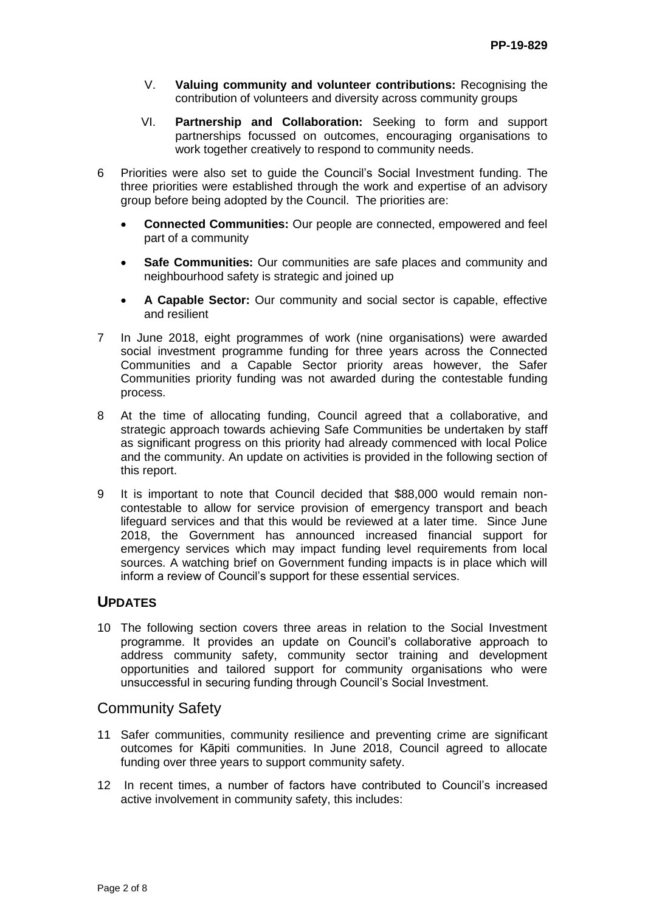- V. **Valuing community and volunteer contributions:** Recognising the contribution of volunteers and diversity across community groups
- VI. **Partnership and Collaboration:** Seeking to form and support partnerships focussed on outcomes, encouraging organisations to work together creatively to respond to community needs.
- 6 Priorities were also set to guide the Council's Social Investment funding. The three priorities were established through the work and expertise of an advisory group before being adopted by the Council. The priorities are:
	- **Connected Communities:** Our people are connected, empowered and feel part of a community
	- **Safe Communities:** Our communities are safe places and community and neighbourhood safety is strategic and joined up
	- **A Capable Sector:** Our community and social sector is capable, effective and resilient
- 7 In June 2018, eight programmes of work (nine organisations) were awarded social investment programme funding for three years across the Connected Communities and a Capable Sector priority areas however, the Safer Communities priority funding was not awarded during the contestable funding process.
- 8 At the time of allocating funding, Council agreed that a collaborative, and strategic approach towards achieving Safe Communities be undertaken by staff as significant progress on this priority had already commenced with local Police and the community. An update on activities is provided in the following section of this report.
- 9 It is important to note that Council decided that \$88,000 would remain noncontestable to allow for service provision of emergency transport and beach lifeguard services and that this would be reviewed at a later time. Since June 2018, the Government has announced increased financial support for emergency services which may impact funding level requirements from local sources. A watching brief on Government funding impacts is in place which will inform a review of Council's support for these essential services.

# **UPDATES**

10 The following section covers three areas in relation to the Social Investment programme. It provides an update on Council's collaborative approach to address community safety, community sector training and development opportunities and tailored support for community organisations who were unsuccessful in securing funding through Council's Social Investment.

# Community Safety

- 11 Safer communities, community resilience and preventing crime are significant outcomes for Kāpiti communities. In June 2018, Council agreed to allocate funding over three years to support community safety.
- 12 In recent times, a number of factors have contributed to Council's increased active involvement in community safety, this includes: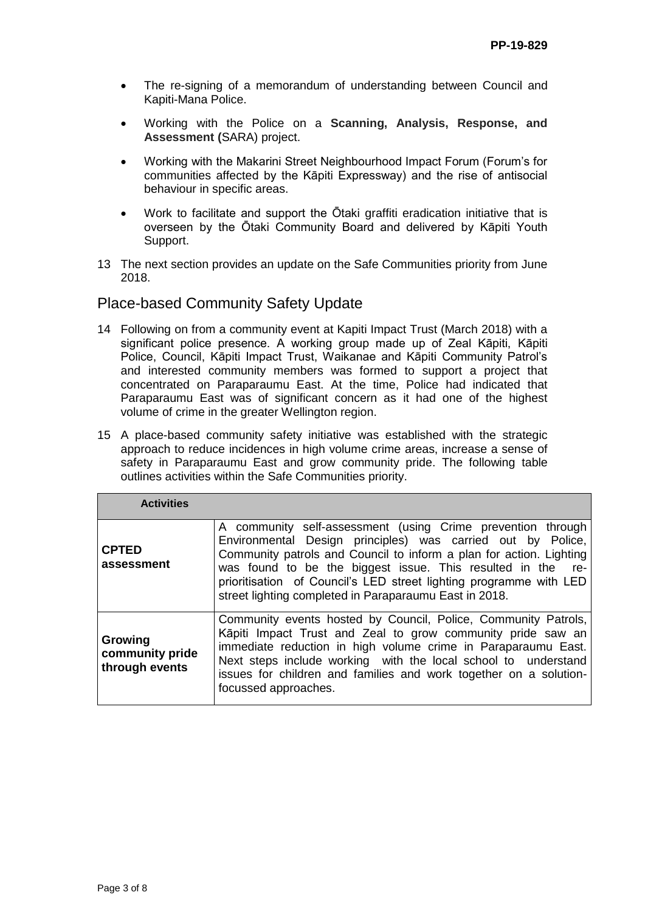- The re-signing of a memorandum of understanding between Council and Kapiti-Mana Police.
- Working with the Police on a **Scanning, Analysis, Response, and Assessment (**SARA) project.
- Working with the Makarini Street Neighbourhood Impact Forum (Forum's for communities affected by the Kāpiti Expressway) and the rise of antisocial behaviour in specific areas.
- Work to facilitate and support the Ōtaki graffiti eradication initiative that is overseen by the Ōtaki Community Board and delivered by Kāpiti Youth Support.
- 13 The next section provides an update on the Safe Communities priority from June 2018.

# Place-based Community Safety Update

- 14 Following on from a community event at Kapiti Impact Trust (March 2018) with a significant police presence. A working group made up of Zeal Kāpiti, Kāpiti Police, Council, Kāpiti Impact Trust, Waikanae and Kāpiti Community Patrol's and interested community members was formed to support a project that concentrated on Paraparaumu East. At the time, Police had indicated that Paraparaumu East was of significant concern as it had one of the highest volume of crime in the greater Wellington region.
- 15 A place-based community safety initiative was established with the strategic approach to reduce incidences in high volume crime areas, increase a sense of safety in Paraparaumu East and grow community pride. The following table outlines activities within the Safe Communities priority.

| <b>Activities</b>                            |                                                                                                                                                                                                                                                                                                                                                                                                     |
|----------------------------------------------|-----------------------------------------------------------------------------------------------------------------------------------------------------------------------------------------------------------------------------------------------------------------------------------------------------------------------------------------------------------------------------------------------------|
| <b>CPTED</b><br>assessment                   | A community self-assessment (using Crime prevention through<br>Environmental Design principles) was carried out by Police,<br>Community patrols and Council to inform a plan for action. Lighting<br>was found to be the biggest issue. This resulted in the<br>re-<br>prioritisation of Council's LED street lighting programme with LED<br>street lighting completed in Paraparaumu East in 2018. |
| Growing<br>community pride<br>through events | Community events hosted by Council, Police, Community Patrols,<br>Kāpiti Impact Trust and Zeal to grow community pride saw an<br>immediate reduction in high volume crime in Paraparaumu East.<br>Next steps include working with the local school to understand<br>issues for children and families and work together on a solution-<br>focussed approaches.                                       |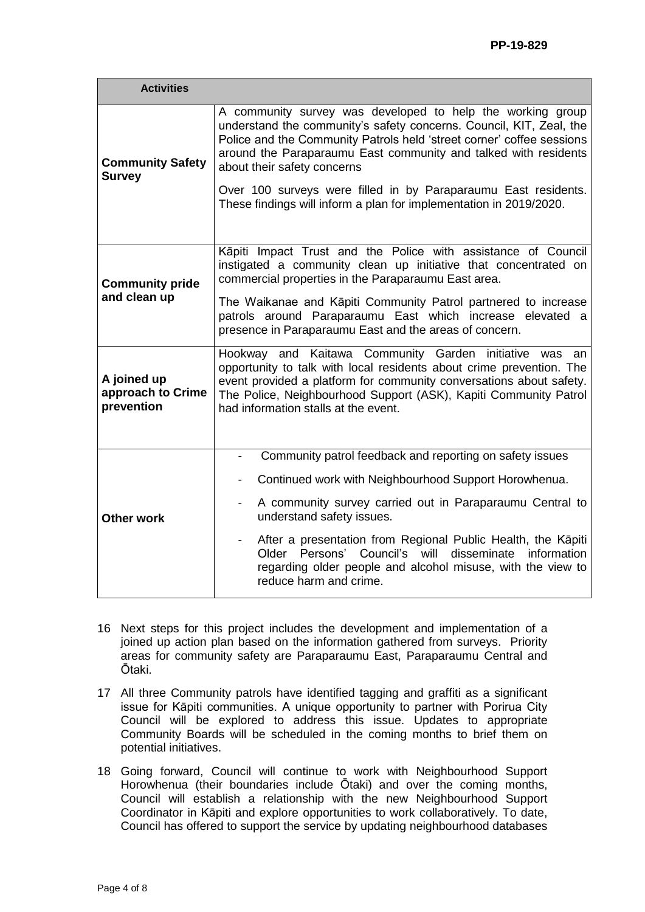| <b>Activities</b>                              |                                                                                                                                                                                                                                                                                                                                                                                                                                                      |  |  |
|------------------------------------------------|------------------------------------------------------------------------------------------------------------------------------------------------------------------------------------------------------------------------------------------------------------------------------------------------------------------------------------------------------------------------------------------------------------------------------------------------------|--|--|
| <b>Community Safety</b><br><b>Survey</b>       | A community survey was developed to help the working group<br>understand the community's safety concerns. Council, KIT, Zeal, the<br>Police and the Community Patrols held 'street corner' coffee sessions<br>around the Paraparaumu East community and talked with residents<br>about their safety concerns<br>Over 100 surveys were filled in by Paraparaumu East residents.<br>These findings will inform a plan for implementation in 2019/2020. |  |  |
| <b>Community pride</b><br>and clean up         | Kāpiti Impact Trust and the Police with assistance of Council<br>instigated a community clean up initiative that concentrated on<br>commercial properties in the Paraparaumu East area.                                                                                                                                                                                                                                                              |  |  |
|                                                | The Waikanae and Kāpiti Community Patrol partnered to increase<br>patrols around Paraparaumu East which increase elevated a<br>presence in Paraparaumu East and the areas of concern.                                                                                                                                                                                                                                                                |  |  |
| A joined up<br>approach to Crime<br>prevention | Hookway and Kaitawa Community Garden initiative was an<br>opportunity to talk with local residents about crime prevention. The<br>event provided a platform for community conversations about safety.<br>The Police, Neighbourhood Support (ASK), Kapiti Community Patrol<br>had information stalls at the event.                                                                                                                                    |  |  |
| Other work                                     | Community patrol feedback and reporting on safety issues<br>$\blacksquare$                                                                                                                                                                                                                                                                                                                                                                           |  |  |
|                                                | Continued work with Neighbourhood Support Horowhenua.                                                                                                                                                                                                                                                                                                                                                                                                |  |  |
|                                                | A community survey carried out in Paraparaumu Central to<br>$\blacksquare$<br>understand safety issues.                                                                                                                                                                                                                                                                                                                                              |  |  |
|                                                | After a presentation from Regional Public Health, the Kapiti<br>Older Persons' Council's will disseminate<br>information<br>regarding older people and alcohol misuse, with the view to<br>reduce harm and crime.                                                                                                                                                                                                                                    |  |  |

- 16 Next steps for this project includes the development and implementation of a joined up action plan based on the information gathered from surveys. Priority areas for community safety are Paraparaumu East, Paraparaumu Central and Ōtaki.
- 17 All three Community patrols have identified tagging and graffiti as a significant issue for Kāpiti communities. A unique opportunity to partner with Porirua City Council will be explored to address this issue. Updates to appropriate Community Boards will be scheduled in the coming months to brief them on potential initiatives.
- 18 Going forward, Council will continue to work with Neighbourhood Support Horowhenua (their boundaries include Ōtaki) and over the coming months, Council will establish a relationship with the new Neighbourhood Support Coordinator in Kāpiti and explore opportunities to work collaboratively. To date, Council has offered to support the service by updating neighbourhood databases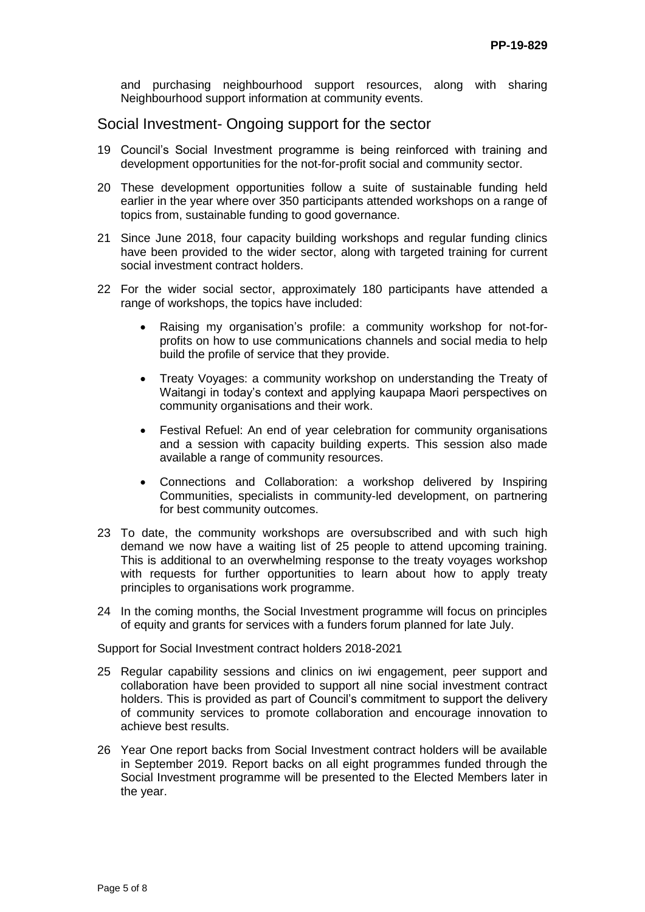and purchasing neighbourhood support resources, along with sharing Neighbourhood support information at community events.

### Social Investment- Ongoing support for the sector

- 19 Council's Social Investment programme is being reinforced with training and development opportunities for the not-for-profit social and community sector.
- 20 These development opportunities follow a suite of sustainable funding held earlier in the year where over 350 participants attended workshops on a range of topics from, sustainable funding to good governance.
- 21 Since June 2018, four capacity building workshops and regular funding clinics have been provided to the wider sector, along with targeted training for current social investment contract holders.
- 22 For the wider social sector, approximately 180 participants have attended a range of workshops, the topics have included:
	- Raising my organisation's profile: a community workshop for not-forprofits on how to use communications channels and social media to help build the profile of service that they provide.
	- Treaty Voyages: a community workshop on understanding the Treaty of Waitangi in today's context and applying kaupapa Maori perspectives on community organisations and their work.
	- Festival Refuel: An end of year celebration for community organisations and a session with capacity building experts. This session also made available a range of community resources.
	- Connections and Collaboration: a workshop delivered by Inspiring Communities, specialists in community-led development, on partnering for best community outcomes.
- 23 To date, the community workshops are oversubscribed and with such high demand we now have a waiting list of 25 people to attend upcoming training. This is additional to an overwhelming response to the treaty voyages workshop with requests for further opportunities to learn about how to apply treaty principles to organisations work programme.
- 24 In the coming months, the Social Investment programme will focus on principles of equity and grants for services with a funders forum planned for late July.

Support for Social Investment contract holders 2018-2021

- 25 Regular capability sessions and clinics on iwi engagement, peer support and collaboration have been provided to support all nine social investment contract holders. This is provided as part of Council's commitment to support the delivery of community services to promote collaboration and encourage innovation to achieve best results.
- 26 Year One report backs from Social Investment contract holders will be available in September 2019. Report backs on all eight programmes funded through the Social Investment programme will be presented to the Elected Members later in the year.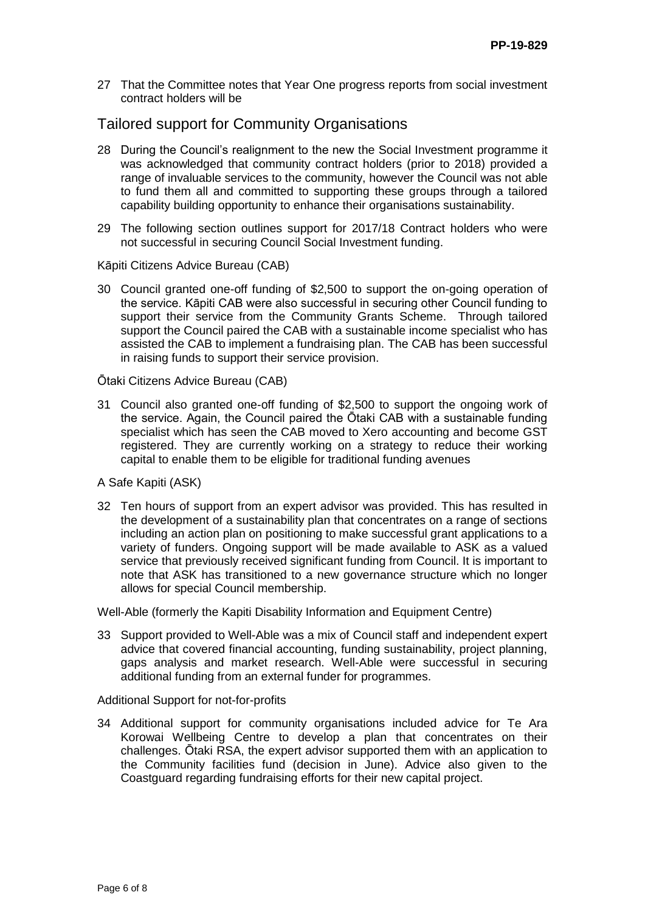27 That the Committee notes that Year One progress reports from social investment contract holders will be

# Tailored support for Community Organisations

- 28 During the Council's realignment to the new the Social Investment programme it was acknowledged that community contract holders (prior to 2018) provided a range of invaluable services to the community, however the Council was not able to fund them all and committed to supporting these groups through a tailored capability building opportunity to enhance their organisations sustainability.
- 29 The following section outlines support for 2017/18 Contract holders who were not successful in securing Council Social Investment funding.

#### Kāpiti Citizens Advice Bureau (CAB)

30 Council granted one-off funding of \$2,500 to support the on-going operation of the service. Kāpiti CAB were also successful in securing other Council funding to support their service from the Community Grants Scheme. Through tailored support the Council paired the CAB with a sustainable income specialist who has assisted the CAB to implement a fundraising plan. The CAB has been successful in raising funds to support their service provision.

#### Ōtaki Citizens Advice Bureau (CAB)

31 Council also granted one-off funding of \$2,500 to support the ongoing work of the service. Again, the Council paired the Ōtaki CAB with a sustainable funding specialist which has seen the CAB moved to Xero accounting and become GST registered. They are currently working on a strategy to reduce their working capital to enable them to be eligible for traditional funding avenues

A Safe Kapiti (ASK)

32 Ten hours of support from an expert advisor was provided. This has resulted in the development of a sustainability plan that concentrates on a range of sections including an action plan on positioning to make successful grant applications to a variety of funders. Ongoing support will be made available to ASK as a valued service that previously received significant funding from Council. It is important to note that ASK has transitioned to a new governance structure which no longer allows for special Council membership.

Well-Able (formerly the Kapiti Disability Information and Equipment Centre)

33 Support provided to Well-Able was a mix of Council staff and independent expert advice that covered financial accounting, funding sustainability, project planning, gaps analysis and market research. Well-Able were successful in securing additional funding from an external funder for programmes.

#### Additional Support for not-for-profits

34 Additional support for community organisations included advice for Te Ara Korowai Wellbeing Centre to develop a plan that concentrates on their challenges. Ōtaki RSA, the expert advisor supported them with an application to the Community facilities fund (decision in June). Advice also given to the Coastguard regarding fundraising efforts for their new capital project.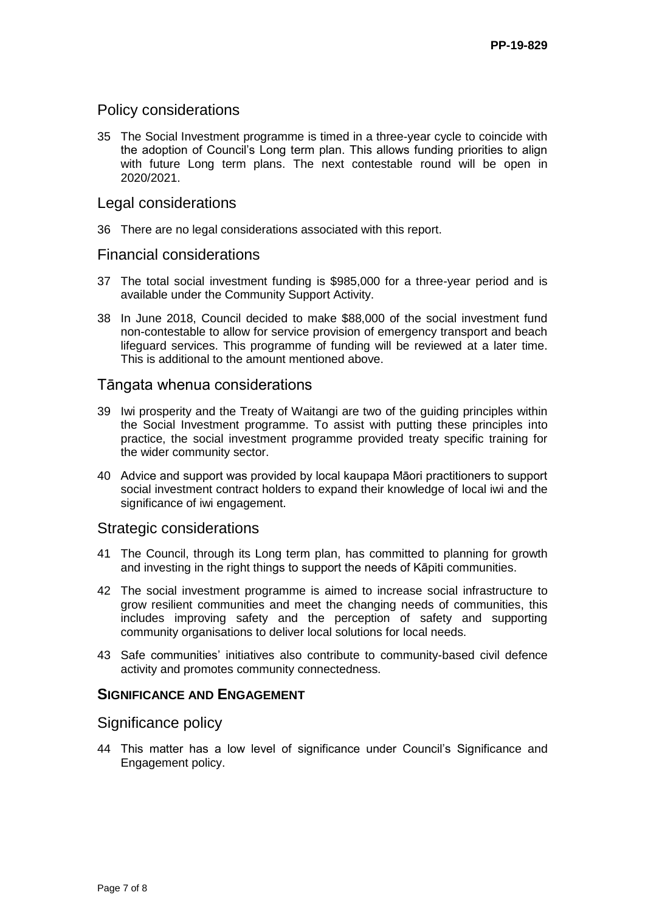### Policy considerations

35 The Social Investment programme is timed in a three-year cycle to coincide with the adoption of Council's Long term plan. This allows funding priorities to align with future Long term plans. The next contestable round will be open in 2020/2021.

### Legal considerations

36 There are no legal considerations associated with this report.

### Financial considerations

- 37 The total social investment funding is \$985,000 for a three-year period and is available under the Community Support Activity.
- 38 In June 2018, Council decided to make \$88,000 of the social investment fund non-contestable to allow for service provision of emergency transport and beach lifeguard services. This programme of funding will be reviewed at a later time. This is additional to the amount mentioned above.

### Tāngata whenua considerations

- 39 Iwi prosperity and the Treaty of Waitangi are two of the guiding principles within the Social Investment programme. To assist with putting these principles into practice, the social investment programme provided treaty specific training for the wider community sector.
- 40 Advice and support was provided by local kaupapa Māori practitioners to support social investment contract holders to expand their knowledge of local iwi and the significance of iwi engagement.

#### Strategic considerations

- 41 The Council, through its Long term plan, has committed to planning for growth and investing in the right things to support the needs of Kāpiti communities.
- 42 The social investment programme is aimed to increase social infrastructure to grow resilient communities and meet the changing needs of communities, this includes improving safety and the perception of safety and supporting community organisations to deliver local solutions for local needs.
- 43 Safe communities' initiatives also contribute to community-based civil defence activity and promotes community connectedness.

#### **SIGNIFICANCE AND ENGAGEMENT**

#### Significance policy

44 This matter has a low level of significance under Council's Significance and Engagement policy.